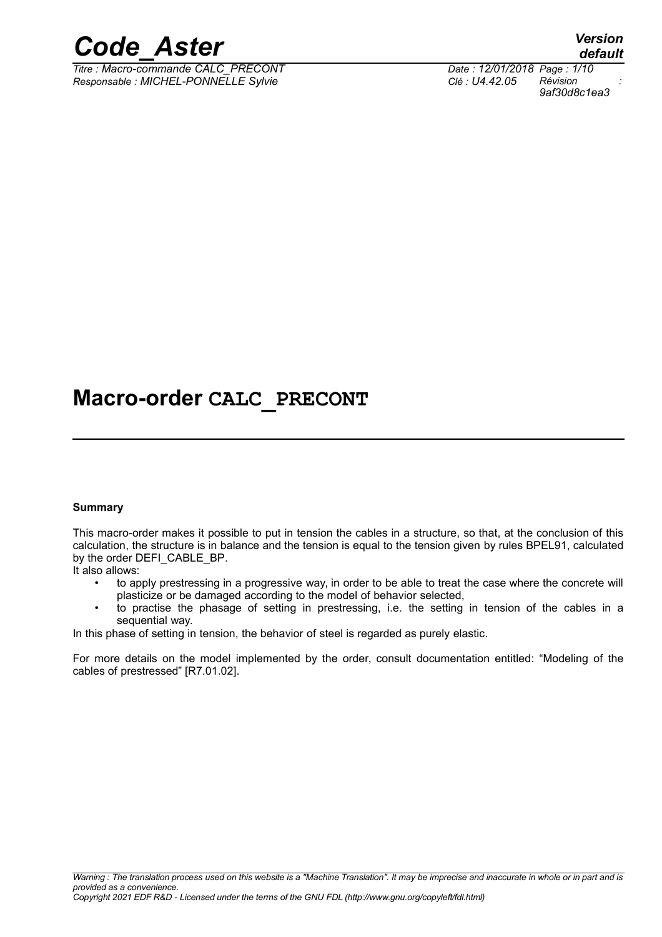

*Titre : Macro-commande CALC\_PRECONT Date : 12/01/2018 Page : 1/10 Responsable : MICHEL-PONNELLE Sylvie Clé : U4.42.05 Révision :*

*default 9af30d8c1ea3*

# **Macro-order CALC\_PRECONT**

#### **Summary**

This macro-order makes it possible to put in tension the cables in a structure, so that, at the conclusion of this calculation, the structure is in balance and the tension is equal to the tension given by rules BPEL91, calculated by the order DEFI\_CABLE\_BP.

It also allows:

- to apply prestressing in a progressive way, in order to be able to treat the case where the concrete will plasticize or be damaged according to the model of behavior selected,
- to practise the phasage of setting in prestressing, i.e. the setting in tension of the cables in a sequential way.

In this phase of setting in tension, the behavior of steel is regarded as purely elastic.

For more details on the model implemented by the order, consult documentation entitled: "Modeling of the cables of prestressed" [R7.01.02].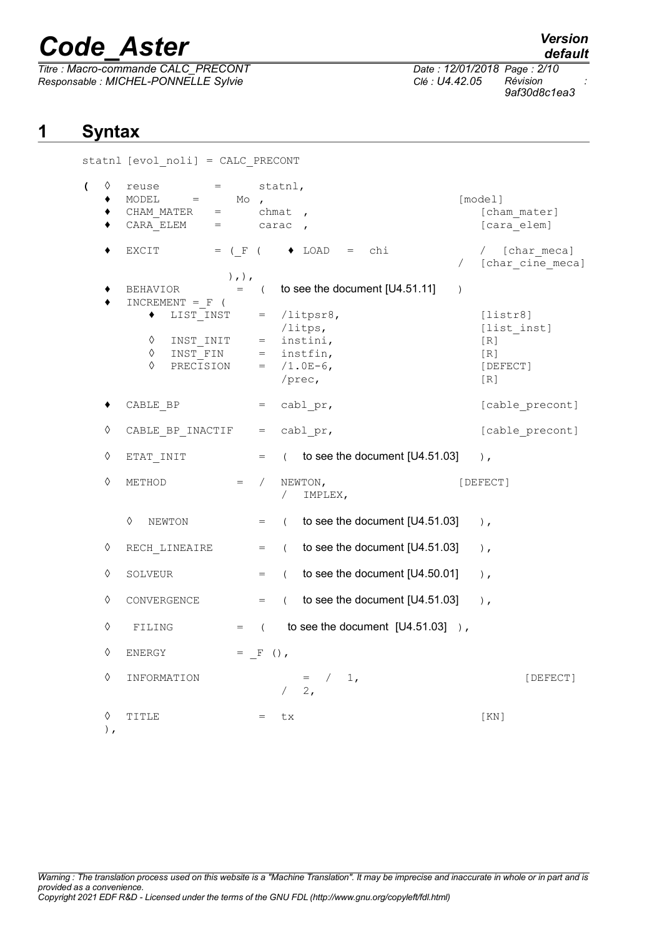*Titre : Macro-commande CALC\_PRECONT Date : 12/01/2018 Page : 2/10 Responsable : MICHEL-PONNELLE Sylvie Clé : U4.42.05 Révision :*

*9af30d8c1ea3*

# **1 Syntax**

|  |  |  |  | statnl [evol noli] = CALC PRECONT |  |
|--|--|--|--|-----------------------------------|--|
|  |  |  |  |                                   |  |

| $\overline{\mathcal{L}}$ | $\Diamond$<br>٠ | $=$<br>reuse<br>MODEL<br>$=$<br>CHAM MATER<br>$=$<br>CARA ELEM<br>$=$ | $Mo$ ,       |             | statnl,<br>chmat<br>carac | $\overline{ }$                       |            | [model]<br>[cham mater]<br>[cara elem] |
|--------------------------|-----------------|-----------------------------------------------------------------------|--------------|-------------|---------------------------|--------------------------------------|------------|----------------------------------------|
|                          |                 | EXCIT                                                                 |              |             |                           | $=$ (F ( $\bullet$ LOAD = chi        | $\sqrt{2}$ | / [char meca]<br>[char cine meca]      |
|                          |                 | BEHAVIOR<br>INCREMENT = $F$ (                                         | $),$ , $)$ , | $=$ (       |                           | to see the document [U4.51.11]       | $\lambda$  |                                        |
|                          |                 | LIST INST<br>٠<br>♦<br>INST INIT                                      |              | $=$         |                           | $=$ /litpsr8,<br>/litps,<br>instini, |            | [liststr8]<br>[list inst]<br>[R]       |
|                          |                 | ♦<br>INST FIN<br>♦<br>PRECISION                                       |              | $=$         |                           | instfin,<br>$= /1.0E-6,$<br>/prec,   |            | [R]<br>[DEFECT]<br>$[R]1$              |
|                          |                 | CABLE BP                                                              |              | $=$         |                           | cabl pr,                             |            | [cable precont]                        |
|                          | $\Diamond$      | CABLE BP INACTIF                                                      |              | $=$         |                           | cabl_pr,                             |            | [cable precont]                        |
|                          | ♦               | ETAT INIT                                                             |              | $=$         | $\left($                  | to see the document [U4.51.03]       |            | $\,$ ,                                 |
|                          | $\Diamond$      | METHOD                                                                | $=$          | $\sqrt{2}$  | $\sqrt{2}$                | NEWTON,<br>IMPLEX,                   |            | [DEFECT]                               |
|                          |                 | ♦<br>NEWTON                                                           |              | $=$         | $\left($                  | to see the document [U4.51.03]       |            | $\lambda$ .                            |
|                          | ♦               | RECH LINEAIRE                                                         |              | $=$         | $\left($                  | to see the document [U4.51.03]       |            | $\lambda$ ,                            |
|                          | ♦               | SOLVEUR                                                               |              | $=$         | $\left($                  | to see the document [U4.50.01]       |            | $\lambda$ .                            |
|                          | ♦               | CONVERGENCE                                                           |              | $=$         | $\left($                  | to see the document [U4.51.03]       |            | $\,$ ,                                 |
|                          | ♦               | FILING                                                                | $=$          | $\sqrt{2}$  |                           | to see the document $[U4.51.03]$ ),  |            |                                        |
|                          | ♦               | ENERGY                                                                |              | $=$ $F$ (), |                           |                                      |            |                                        |
|                          | ♦               | INFORMATION                                                           |              |             | $\sqrt{2}$                | $=$ /<br>1,<br>2,                    |            | [DEFECT]                               |
|                          | ♦<br>$)$ ,      | TITLE                                                                 |              |             | tx                        |                                      |            | KN                                     |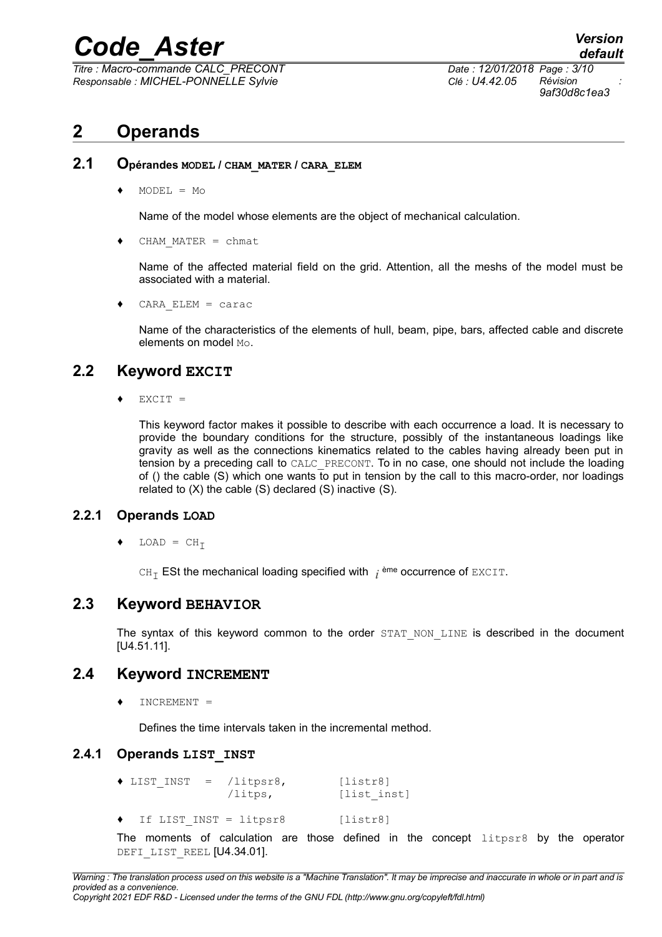*Titre : Macro-commande CALC\_PRECONT Date : 12/01/2018 Page : 3/10 Responsable : MICHEL-PONNELLE Sylvie Clé : U4.42.05 Révision :*

*9af30d8c1ea3*

# **2 Operands**

#### **2.1 Opérandes MODEL / CHAM\_MATER / CARA\_ELEM**

 $MODEL = Mo$ 

Name of the model whose elements are the object of mechanical calculation.

 $\triangleleft$  CHAM MATER = chmat

Name of the affected material field on the grid. Attention, all the meshs of the model must be associated with a material.

♦ CARA\_ELEM = carac

Name of the characteristics of the elements of hull, beam, pipe, bars, affected cable and discrete elements on model Mo.

#### **2.2 Keyword EXCIT**

 $EXCIT =$ 

This keyword factor makes it possible to describe with each occurrence a load. It is necessary to provide the boundary conditions for the structure, possibly of the instantaneous loadings like gravity as well as the connections kinematics related to the cables having already been put in tension by a preceding call to CALC\_PRECONT. To in no case, one should not include the loading of () the cable (S) which one wants to put in tension by the call to this macro-order, nor loadings related to (X) the cable (S) declared (S) inactive (S).

#### **2.2.1 Operands LOAD**

 $\bullet$  LOAD =  $CH_T$ 

 $\mathtt{CH}_{\mathcal{I}}$  ESt the mechanical loading specified with  $|i|$  <sup>ème</sup> occurrence of  $\mathtt{EXCIT}.$ 

#### **2.3 Keyword BEHAVIOR**

The syntax of this keyword common to the order STAT NON LINE is described in the document [U4.51.11].

#### **2.4 Keyword INCREMENT**

 $INCREMENT =$ 

Defines the time intervals taken in the incremental method.

#### **2.4.1 Operands LIST\_INST**

- **♦** LIST\_INST = /litpsr8, [listr8] /litps, [list\_inst]
- **♦** If LIST\_INST = litpsr8 [listr8]

The moments of calculation are those defined in the concept litpsr8 by the operator DEFI LIST REEL [U4.34.01].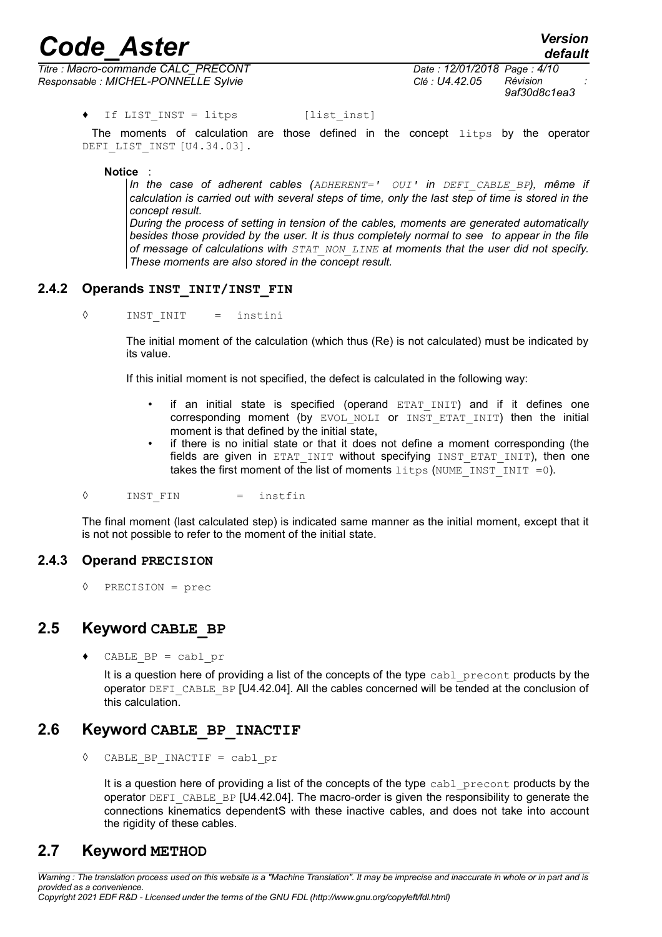*Titre : Macro-commande CALC\_PRECONT Date : 12/01/2018 Page : 4/10 Responsable : MICHEL-PONNELLE Sylvie Clé : U4.42.05 Révision :*

*default 9af30d8c1ea3*

The moments of calculation are those defined in the concept litps by the operator DEFI LIST INST [U4.34.03].

**Notice** :

*In the case of adherent cables (ADHERENT=' OUI' in DEFI\_CABLE\_BP), même if calculation is carried out with several steps of time, only the last step of time is stored in the concept result.* 

*During the process of setting in tension of the cables, moments are generated automatically besides those provided by the user. It is thus completely normal to see to appear in the file of message of calculations with STAT\_NON\_LINE at moments that the user did not specify. These moments are also stored in the concept result.*

#### **2.4.2 Operands INST\_INIT/INST\_FIN**

◊ INST\_INIT = instini

The initial moment of the calculation (which thus (Re) is not calculated) must be indicated by its value.

If this initial moment is not specified, the defect is calculated in the following way:

- if an initial state is specified (operand  $ETATINT$ ) and if it defines one corresponding moment (by EVOL\_NOLI or INST\_ETAT\_INIT) then the initial moment is that defined by the initial state,
- if there is no initial state or that it does not define a moment corresponding (the fields are given in ETAT INIT without specifying INST ETAT INIT), then one takes the first moment of the list of moments litps (NUME INST INIT =0).
- ◊ INST\_FIN = instfin

The final moment (last calculated step) is indicated same manner as the initial moment, except that it is not not possible to refer to the moment of the initial state.

#### **2.4.3 Operand PRECISION**

 $PRECISION = prec$ 

#### **2.5 Keyword CABLE\_BP**

♦ CABLE\_BP = cabl\_pr

It is a question here of providing a list of the concepts of the type cabl precont products by the operator DEFI\_CABLE\_BP [U4.42.04]. All the cables concerned will be tended at the conclusion of this calculation.

#### **2.6 Keyword CABLE\_BP\_INACTIF**

◊ CABLE\_BP\_INACTIF = cabl\_pr

It is a question here of providing a list of the concepts of the type cabl precont products by the operator DEFI\_CABLE\_BP [U4.42.04]. The macro-order is given the responsibility to generate the connections kinematics dependentS with these inactive cables, and does not take into account the rigidity of these cables.

#### **2.7 Keyword METHOD**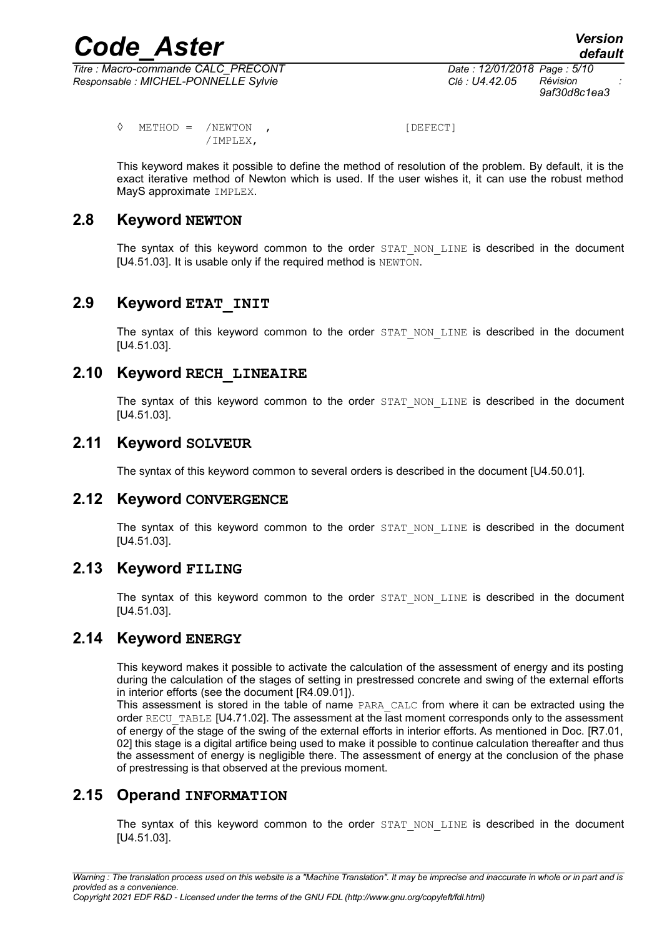*Titre : Macro-commande CALC\_PRECONT Date : 12/01/2018 Page : 5/10 9af30d8c1ea3*

◊ METHOD = /NEWTON , [DEFECT] /IMPLEX,

This keyword makes it possible to define the method of resolution of the problem. By default, it is the exact iterative method of Newton which is used. If the user wishes it, it can use the robust method MayS approximate **IMPLEX**.

#### **2.8 Keyword NEWTON**

The syntax of this keyword common to the order STAT\_NON\_LINE is described in the document [U4.51.03]. It is usable only if the required method is NEWTON.

## **2.9 Keyword ETAT\_INIT**

The syntax of this keyword common to the order STAT NON LINE is described in the document [U4.51.03].

## **2.10 Keyword RECH\_LINEAIRE**

The syntax of this keyword common to the order STAT NON LINE is described in the document [U4.51.03].

## **2.11 Keyword SOLVEUR**

The syntax of this keyword common to several orders is described in the document [U4.50.01].

## **2.12 Keyword CONVERGENCE**

The syntax of this keyword common to the order STAT NON LINE is described in the document [U4.51.03].

## **2.13 Keyword FILING**

The syntax of this keyword common to the order STAT NON LINE is described in the document [U4.51.03].

## **2.14 Keyword ENERGY**

This keyword makes it possible to activate the calculation of the assessment of energy and its posting during the calculation of the stages of setting in prestressed concrete and swing of the external efforts in interior efforts (see the document [R4.09.01]).

This assessment is stored in the table of name PARA\_CALC from where it can be extracted using the order RECU\_TABLE [U4.71.02]. The assessment at the last moment corresponds only to the assessment of energy of the stage of the swing of the external efforts in interior efforts. As mentioned in Doc. [R7.01, 02] this stage is a digital artifice being used to make it possible to continue calculation thereafter and thus the assessment of energy is negligible there. The assessment of energy at the conclusion of the phase of prestressing is that observed at the previous moment.

# **2.15 Operand INFORMATION**

The syntax of this keyword common to the order STAT NON LINE is described in the document [U4.51.03].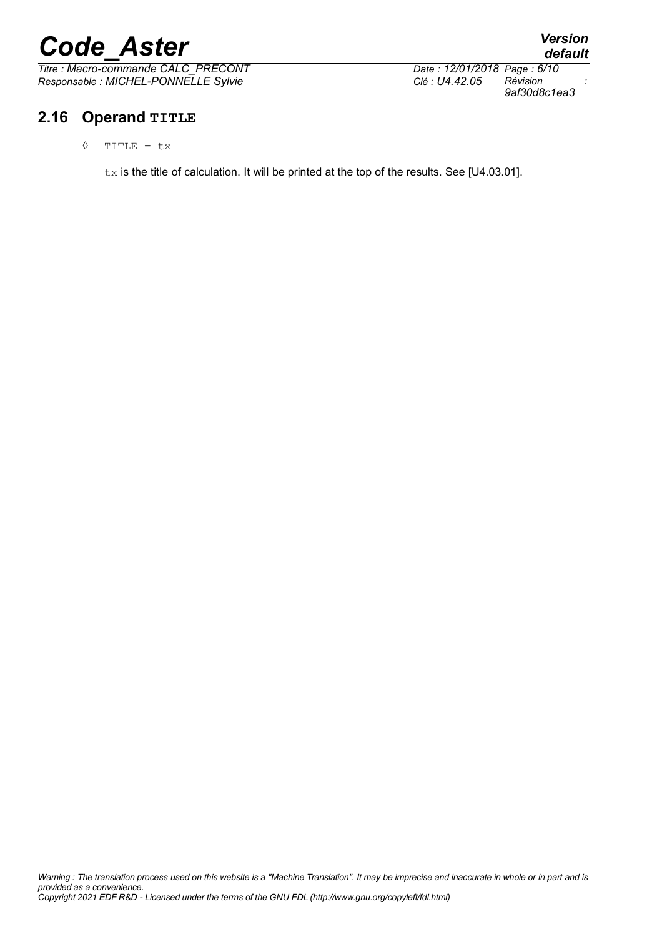*Titre : Macro-commande CALC\_PRECONT Date : 12/01/2018 Page : 6/10 Responsable : MICHEL-PONNELLE Sylvie Clé : U4.42.05 Révision :*

# *9af30d8c1ea3*

## **2.16 Operand TITLE**

◊ TITLE = tx

 $tx$  is the title of calculation. It will be printed at the top of the results. See [U4.03.01].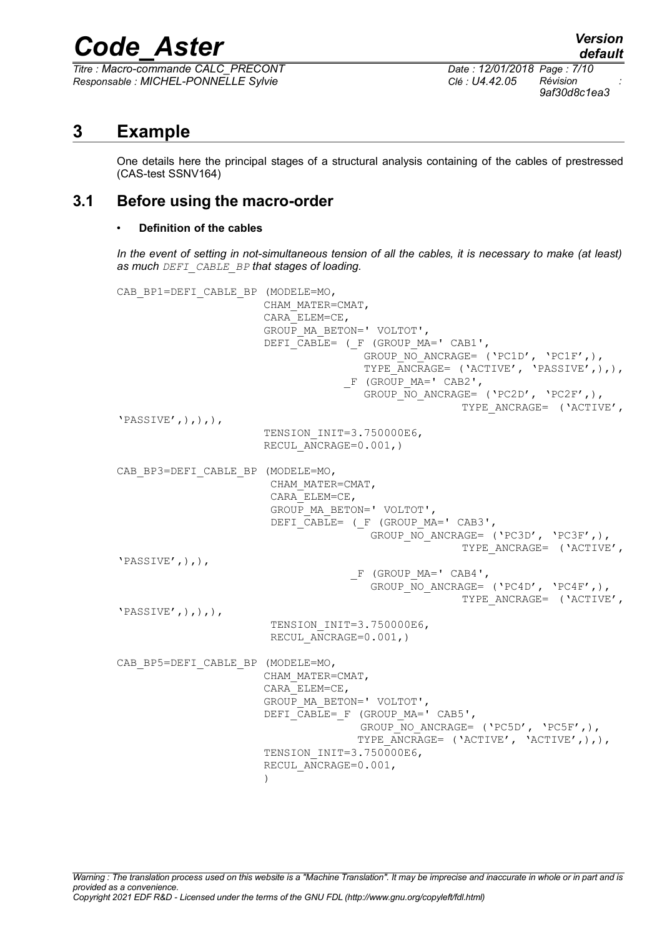*Titre : Macro-commande CALC\_PRECONT Date : 12/01/2018 Page : 7/10 Responsable : MICHEL-PONNELLE Sylvie Clé : U4.42.05 Révision :*

*9af30d8c1ea3*

## **3 Example**

One details here the principal stages of a structural analysis containing of the cables of prestressed (CAS-test SSNV164)

#### **3.1 Before using the macro-order**

#### • **Definition of the cables**

*In the event of setting in not-simultaneous tension of all the cables, it is necessary to make (at least) as much DEFI\_CABLE\_BP that stages of loading.*

```
CAB_BP1=DEFI_CABLE_BP (MODELE=MO,
                       CHAM_MATER=CMAT,
                       CARA_ELEM=CE,
                      GROUP_MA_BETON=' VOLTOT',
                      DEFI CABLE= ( F (GROUP MA=' CAB1',
                                      GROUP NO ANCRAGE= ('PC1D', 'PC1F',),
                                      TYPE ANCRAGE= ('ACTIVE', 'PASSIVE',),),
                                   F (GROUP_MA=' CAB2',
                                      GROUP NO ANCRAGE= ('PC2D', 'PC2F',),
                                                     TYPE_ANCRAGE= ('ACTIVE',
'PASSIVE',(),(),TENSION INIT=3.750000E6,
                      RECUL ANCRAGE=0.001,)
CAB_BP3=DEFI_CABLE_BP (MODELE=MO,
                        CHAM_MATER=CMAT,
                        CARA_ELEM=CE,
                        GROUP_MA_BETON=' VOLTOT',
                       DEFI\overline{C}ABLE= (F (GROUP MA=' CAB3',
                                       GROUP NO ANCRAGE= ('PC3D', 'PC3F',),
                                                     TYPE ANCRAGE= ('ACTIVE',
'PASSIVE',,,,,
                                     _F (GROUP_MA=' CAB4',
                                       GROUP NO ANCRAGE= ('PC4D', 'PC4F',),
                                                     TYPE ANCRAGE= ('ACTIVE',
'PASSIVE',),),TENSION INIT=3.750000E6,
                       RECUL ANCRAGE=0.001,)
CAB_BP5=DEFI_CABLE_BP (MODELE=MO,
                       CHAM_MATER=CMAT,
                       CARA_ELEM=CE,
                       GROUP_MA_BETON=' VOLTOT',
                      DEFI<sup>CABLE=</sup> F (GROUP MA=' CAB5',
                                     GROUP NO ANCRAGE= ('PC5D', 'PC5F',),
                                     TYPE ANCRAGE= ('ACTIVE', 'ACTIVE', ), ),
                      TENSION INIT=3.750000E6,
                      RECUL ANCRAGE=0.001,
 )
```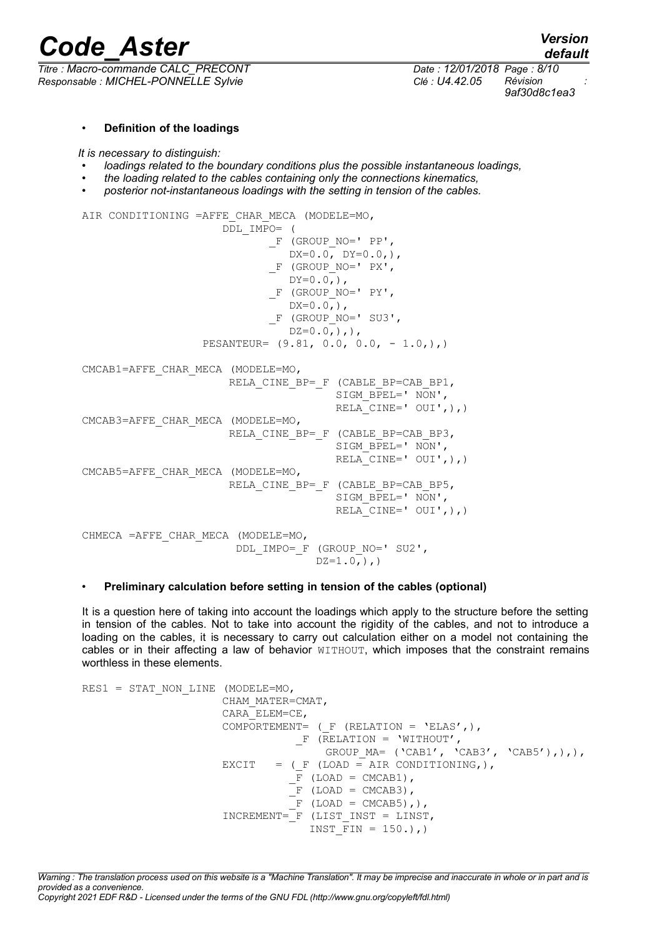*Titre : Macro-commande CALC\_PRECONT Date : 12/01/2018 Page : 8/10 Responsable : MICHEL-PONNELLE Sylvie Clé : U4.42.05 Révision :*

#### • **Definition of the loadings**

*It is necessary to distinguish:*

- *loadings related to the boundary conditions plus the possible instantaneous loadings,*
- *the loading related to the cables containing only the connections kinematics,*
- *posterior not-instantaneous loadings with the setting in tension of the cables.*

AIR CONDITIONING =AFFE CHAR MECA (MODELE=MO, DDL\_IMPO= ( F (GROUP NO=' PP',  $DX=0.0, 0, DY=0.0,$  ), F (GROUP NO=' PX',  $DY=0.0, )$ , F (GROUP NO=' PY',  $DX=0.0,)$ , F (GROUP NO=' SU3',  $DZ=0.0,)$ ,), PESANTEUR=  $(9.81, 0.0, 0.0, -1.0)$ CMCAB1=AFFE\_CHAR\_MECA (MODELE=MO, RELA CINE BP= F (CABLE BP=CAB BP1, SIGM BPEL='  $NON'$ , RELA CINE='  $OUT',),$ ) CMCAB3=AFFE\_CHAR\_MECA (MODELE=MO, RELA CINE BP= F (CABLE BP=CAB BP3, SIGM\_BPEL=' NON', RELA CINE=' OUI',),) CMCAB5=AFFE\_CHAR\_MECA (MODELE=MO, RELA CINE BP= F (CABLE BP=CAB BP5, SIGM  $BPEL=' NON'$ ,  $RELA$  CINE=' OUI',),) CHMECA =AFFE\_CHAR\_MECA (MODELE=MO, DDL\_IMPO=\_F (GROUP\_NO=' SU2',  $DZ=1.0,),$ 

#### • **Preliminary calculation before setting in tension of the cables (optional)**

It is a question here of taking into account the loadings which apply to the structure before the setting in tension of the cables. Not to take into account the rigidity of the cables, and not to introduce a loading on the cables, it is necessary to carry out calculation either on a model not containing the cables or in their affecting a law of behavior WITHOUT, which imposes that the constraint remains worthless in these elements.

```
RES1 = STAT_NON_LINE (MODELE=MO,
                       CHAM_MATER=CMAT,
                       CARA_ELEM=CE,
                      COMPORTEMENT= ( F (RELATION = 'ELAS', ),
                                   F (RELATION = 'WITHOUT',
                                       GROUP MA= ('CAB1', 'CAB3', 'CAB5'),),),
                      EXCIT = (F (LOAD = AIR CONDITIONING,)),\overline{F} (LOAD = CMCAB1),
                                  F (LOAD = CMCAB3),
                                  \overline{F} (LOAD = CMCAB5), ),
                        INCREMENT=_F (LIST_INST = LINST,
                                    INST FIN = 150.),)
```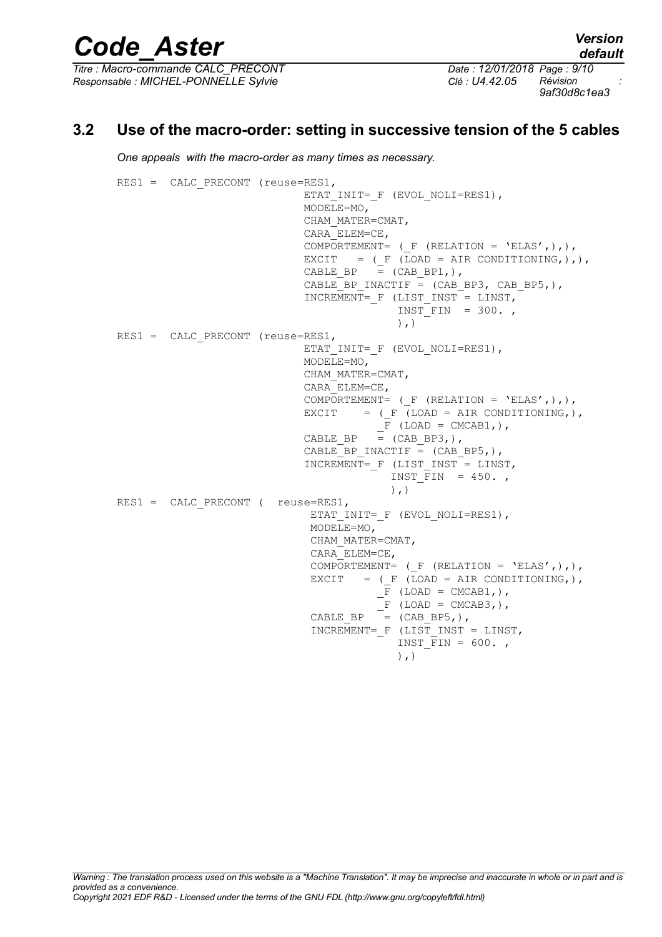*Titre : Macro-commande CALC\_PRECONT Date : 12/01/2018 Page : 9/10 Responsable : MICHEL-PONNELLE Sylvie Clé : U4.42.05 Révision :*

*9af30d8c1ea3*

#### **3.2 Use of the macro-order: setting in successive tension of the 5 cables**

*One appeals with the macro-order as many times as necessary.*

```
RES1 = CALC PRECONT (reuse=RES1,
                           ETAT_INIT=_F (EVOL_NOLI=RES1),
                           MODELE=MO,
                            CHAM_MATER=CMAT,
                            CARA_ELEM=CE,
                            COMPORTEMENT= (_F (RELATION = 'ELAS',),),
                           EXCIT = (F (LOAD = AIR CONDITIONING,)),CABLE BP = (CAB BP1,),
                           CABLE BP INACTIF = (CAB BP3, CAB BP5,),
                           INCRE\overline{M}\overline{T} = \underline{F} (LIST INST = LINST,
                                         INST FIN = 300.,
), )RES1 = CALC PRECONT (reuse=RES1,
                           ETAT_INIT=_F (EVOL_NOLI=RES1),
                            MODELE=MO,
                            CHAM_MATER=CMAT,
                            CARA_ELEM=CE,
                           COMPORTEMENT= ( F (RELATION = 'ELAS', ), ),EXCIT = (F (LOAD = AIR CONDITIONING,)),\overline{F} (LOAD = CMCAB1,),
                           CABLE BP = (CAB BP3,),
                           CABLE BP INACTIF = (CAB BP5,),
                           INCREMENT= F (LIST INST = LINST,
                                        INST FIN = 450.\left( \begin{array}{c} 1 \\ 1 \end{array} \right)RES1 = CALC PRECONT ( reuse=RES1,
                            ETAT_INIT= F (EVOL NOLI=RES1),
                             MODELE=MO,
                             CHAM_MATER=CMAT,
                             CARA_ELEM=CE,
                            COMPORTEMENT= ( F (RELATION = 'ELAS', ), ),EXCIT = (\overline{LOAD} = AIR CONDITIONING,),\overline{F} (LOAD = CMCAB1,),
                                       \overline{F} (LOAD = CMCAB3,),
                            CABLE BP = (CAB BP5,),
                            INCREMENT= F (LIST INST = LINST,INST FIN = 600.), )
```